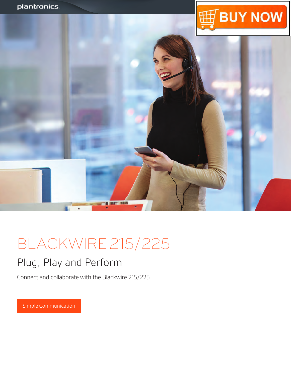



# BLACKWIRE 215/225

### Plug, Play and Perform

Connect and collaborate with the Blackwire 215/225.

Simple Communication